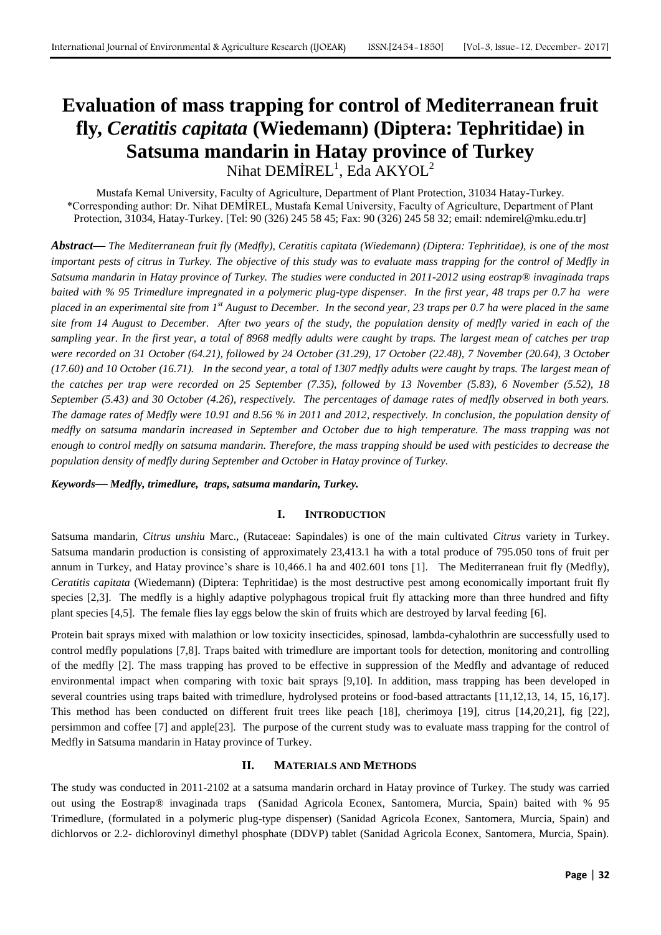# **Evaluation of mass trapping for control of Mediterranean fruit fly,** *Ceratitis capitata* **(Wiedemann) (Diptera: Tephritidae) in Satsuma mandarin in Hatay province of Turkey** Nihat  $\text{DEMIREL}^1$ , Eda AKYOL $^2$

Mustafa Kemal University, Faculty of Agriculture, Department of Plant Protection, 31034 Hatay-Turkey. \*Corresponding author: Dr. Nihat DEMİREL, Mustafa Kemal University, Faculty of Agriculture, Department of Plant Protection, 31034, Hatay-Turkey. [Tel: 90 (326) 245 58 45; Fax: 90 (326) 245 58 32; email: ndemirel@mku.edu.tr]

*Abstract***—** *The Mediterranean fruit fly (Medfly), Ceratitis capitata (Wiedemann) (Diptera: Tephritidae), is one of the most important pests of citrus in Turkey. The objective of this study was to evaluate mass trapping for the control of Medfly in Satsuma mandarin in Hatay province of Turkey. The studies were conducted in 2011-2012 using eostrap® invaginada traps baited with % 95 Trimedlure impregnated in a polymeric plug-type dispenser. In the first year, 48 traps per 0.7 ha were placed in an experimental site from 1st August to December. In the second year, 23 traps per 0.7 ha were placed in the same site from 14 August to December. After two years of the study, the population density of medfly varied in each of the sampling year. In the first year, a total of 8968 medfly adults were caught by traps. The largest mean of catches per trap were recorded on 31 October (64.21), followed by 24 October (31.29), 17 October (22.48), 7 November (20.64), 3 October (17.60) and 10 October (16.71). In the second year, a total of 1307 medfly adults were caught by traps. The largest mean of the catches per trap were recorded on 25 September (7.35), followed by 13 November (5.83), 6 November (5.52), 18 September (5.43) and 30 October (4.26), respectively. The percentages of damage rates of medfly observed in both years. The damage rates of Medfly were 10.91 and 8.56 % in 2011 and 2012, respectively. In conclusion, the population density of medfly on satsuma mandarin increased in September and October due to high temperature. The mass trapping was not enough to control medfly on satsuma mandarin. Therefore, the mass trapping should be used with pesticides to decrease the population density of medfly during September and October in Hatay province of Turkey.* 

#### *Keywords***—** *Medfly, trimedlure, traps, satsuma mandarin, Turkey.*

## **I. INTRODUCTION**

Satsuma mandarin, *Citrus unshiu* Marc., (Rutaceae: Sapindales) is one of the main cultivated *Citrus* variety in Turkey. Satsuma mandarin production is consisting of approximately 23,413.1 ha with a total produce of 795.050 tons of fruit per annum in Turkey, and Hatay province's share is 10,466.1 ha and 402.601 tons [1]. The Mediterranean fruit fly (Medfly), *Ceratitis capitata* (Wiedemann) (Diptera: Tephritidae) is the most destructive pest among economically important fruit fly species [2,3]. The medfly is a highly adaptive polyphagous tropical fruit fly attacking more than three hundred and fifty plant species [4,5]. The female flies lay eggs below the skin of fruits which are destroyed by larval feeding [6].

Protein bait sprays mixed with malathion or low toxicity insecticides, spinosad, lambda-cyhalothrin are successfully used to control medfly populations [7,8]. Traps baited with trimedlure are important tools for detection, monitoring and controlling of the medfly [2]. The mass trapping has proved to be effective in suppression of the Medfly and advantage of reduced environmental impact when comparing with toxic bait sprays [9,10]. In addition, mass trapping has been developed in several countries using traps baited with trimedlure, hydrolysed proteins or food-based attractants [11,12,13, 14, 15, 16,17]. This method has been conducted on different fruit trees like peach [18], cherimoya [19], citrus [14,20,21], fig [22], persimmon and coffee [7] and apple[23]. The purpose of the current study was to evaluate mass trapping for the control of Medfly in Satsuma mandarin in Hatay province of Turkey.

#### **II. MATERIALS AND METHODS**

The study was conducted in 2011-2102 at a satsuma mandarin orchard in Hatay province of Turkey. The study was carried out using the Eostrap® invaginada traps (Sanidad Agricola Econex, Santomera, Murcia, Spain) baited with % 95 Trimedlure, (formulated in a polymeric plug-type dispenser) (Sanidad Agricola Econex, Santomera, Murcia, Spain) and dichlorvos or 2.2- dichlorovinyl dimethyl phosphate (DDVP) tablet (Sanidad Agricola Econex, Santomera, Murcia, Spain).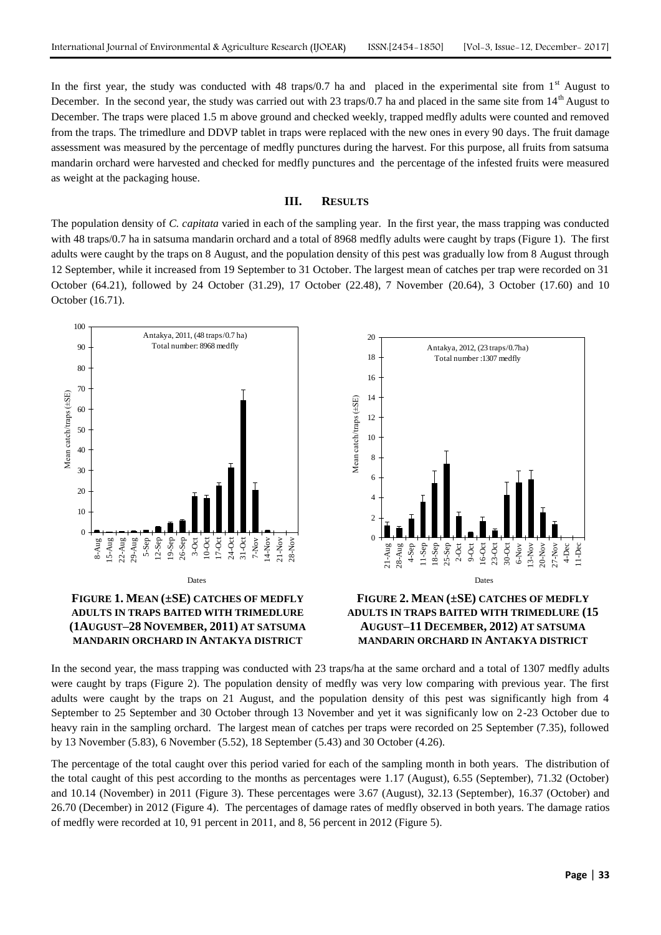In the first year, the study was conducted with 48 traps/0.7 ha and placed in the experimental site from  $1<sup>st</sup>$  August to December. In the second year, the study was carried out with 23 traps/0.7 ha and placed in the same site from  $14<sup>th</sup>$  August to December. The traps were placed 1.5 m above ground and checked weekly, trapped medfly adults were counted and removed from the traps. The trimedlure and DDVP tablet in traps were replaced with the new ones in every 90 days. The fruit damage assessment was measured by the percentage of medfly punctures during the harvest. For this purpose, all fruits from satsuma mandarin orchard were harvested and checked for medfly punctures and the percentage of the infested fruits were measured as weight at the packaging house.

### **III. RESULTS**

The population density of *C. capitata* varied in each of the sampling year. In the first year, the mass trapping was conducted with 48 traps/0.7 ha in satsuma mandarin orchard and a total of 8968 medfly adults were caught by traps (Figure 1). The first adults were caught by the traps on 8 August, and the population density of this pest was gradually low from 8 August through 12 September, while it increased from 19 September to 31 October. The largest mean of catches per trap were recorded on 31 October (64.21), followed by 24 October (31.29), 17 October (22.48), 7 November (20.64), 3 October (17.60) and 10 October (16.71).



**(1AUGUST–28 NOVEMBER, 2011) AT SATSUMA MANDARIN ORCHARD IN ANTAKYA DISTRICT**



In the second year, the mass trapping was conducted with 23 traps/ha at the same orchard and a total of 1307 medfly adults were caught by traps (Figure 2). The population density of medfly was very low comparing with previous year. The first adults were caught by the traps on 21 August, and the population density of this pest was significantly high from 4 September to 25 September and 30 October through 13 November and yet it was significanly low on 2-23 October due to heavy rain in the sampling orchard. The largest mean of catches per traps were recorded on 25 September (7.35), followed by 13 November (5.83), 6 November (5.52), 18 September (5.43) and 30 October (4.26).

The percentage of the total caught over this period varied for each of the sampling month in both years. The distribution of the total caught of this pest according to the months as percentages were 1.17 (August), 6.55 (September), 71.32 (October) and 10.14 (November) in 2011 (Figure 3). These percentages were 3.67 (August), 32.13 (September), 16.37 (October) and 26.70 (December) in 2012 (Figure 4). The percentages of damage rates of medfly observed in both years. The damage ratios of medfly were recorded at 10, 91 percent in 2011, and 8, 56 percent in 2012 (Figure 5).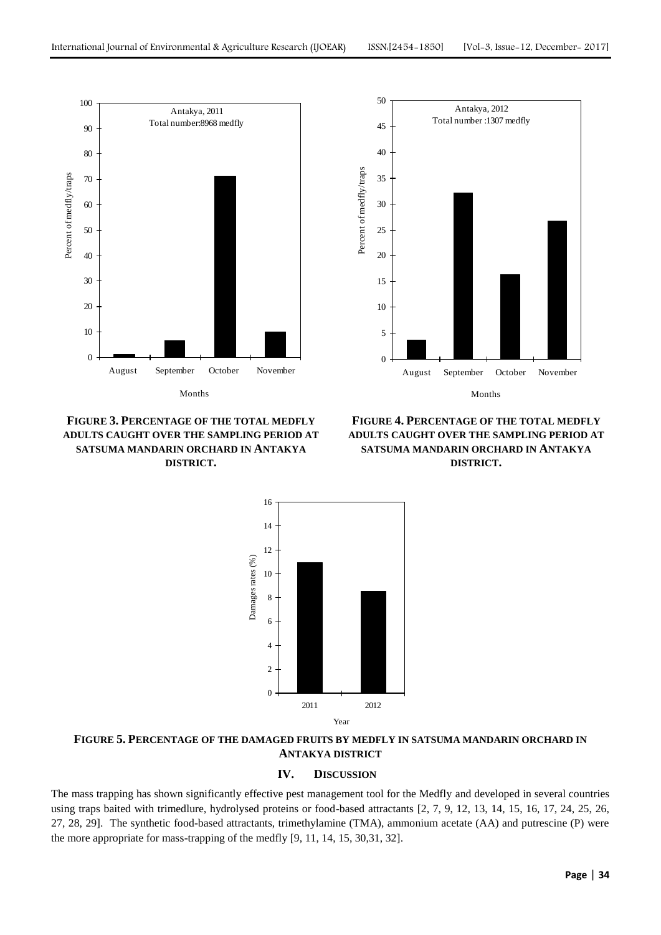

**FIGURE 3. PERCENTAGE OF THE TOTAL MEDFLY ADULTS CAUGHT OVER THE SAMPLING PERIOD AT SATSUMA MANDARIN ORCHARD IN ANTAKYA DISTRICT.**



**FIGURE 4. PERCENTAGE OF THE TOTAL MEDFLY ADULTS CAUGHT OVER THE SAMPLING PERIOD AT SATSUMA MANDARIN ORCHARD IN ANTAKYA DISTRICT.**



**FIGURE 5. PERCENTAGE OF THE DAMAGED FRUITS BY MEDFLY IN SATSUMA MANDARIN ORCHARD IN ANTAKYA DISTRICT**

# **IV. DISCUSSION**

The mass trapping has shown significantly effective pest management tool for the Medfly and developed in several countries using traps baited with trimedlure, hydrolysed proteins or food-based attractants [2, 7, 9, 12, 13, 14, 15, 16, 17, 24, 25, 26, 27, 28, 29]. The synthetic food-based attractants, trimethylamine (TMA), ammonium acetate (AA) and putrescine (P) were the more appropriate for mass-trapping of the medfly [9, 11, 14, 15, 30,31, 32].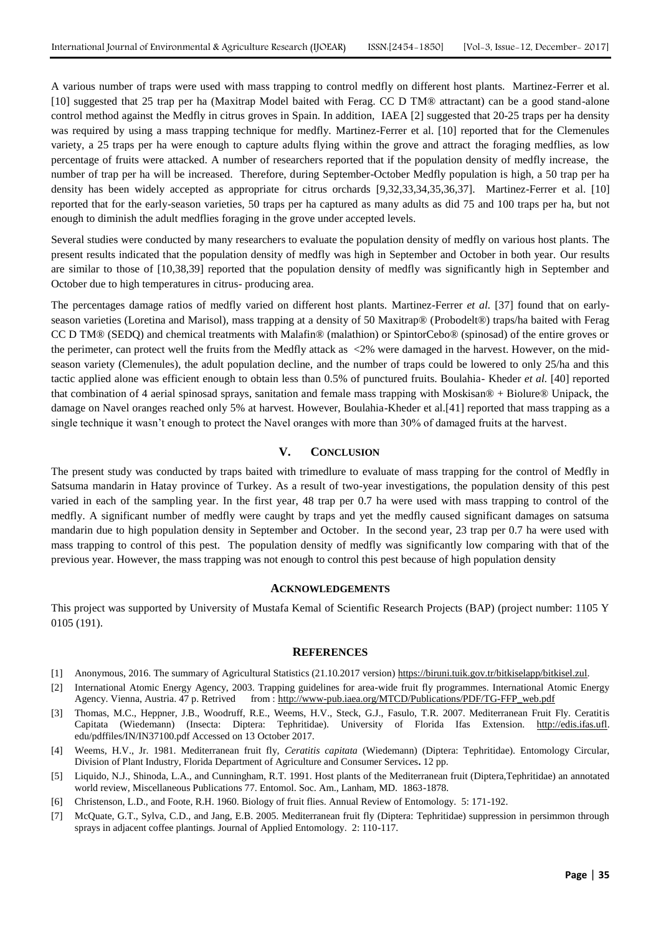A various number of traps were used with mass trapping to control medfly on different host plants. Martinez-Ferrer et al. [10] suggested that 25 trap per ha (Maxitrap Model baited with Ferag. CC D TM® attractant) can be a good stand-alone control method against the Medfly in citrus groves in Spain. In addition, IAEA [2] suggested that 20-25 traps per ha density was required by using a mass trapping technique for medfly. Martinez-Ferrer et al. [10] reported that for the Clemenules variety, a 25 traps per ha were enough to capture adults flying within the grove and attract the foraging medflies, as low percentage of fruits were attacked. A number of researchers reported that if the population density of medfly increase, the number of trap per ha will be increased. Therefore, during September-October Medfly population is high, a 50 trap per ha density has been widely accepted as appropriate for citrus orchards [9,32,33,34,35,36,37]. Martinez-Ferrer et al. [10] reported that for the early-season varieties, 50 traps per ha captured as many adults as did 75 and 100 traps per ha, but not enough to diminish the adult medflies foraging in the grove under accepted levels.

Several studies were conducted by many researchers to evaluate the population density of medfly on various host plants. The present results indicated that the population density of medfly was high in September and October in both year. Our results are similar to those of [10,38,39] reported that the population density of medfly was significantly high in September and October due to high temperatures in citrus- producing area.

The percentages damage ratios of medfly varied on different host plants. Martinez-Ferrer *et al.* [37] found that on earlyseason varieties (Loretina and Marisol), mass trapping at a density of 50 Maxitrap® (Probodelt®) traps/ha baited with Ferag CC D TM® (SEDQ) and chemical treatments with Malafin® (malathion) or SpintorCebo® (spinosad) of the entire groves or the perimeter, can protect well the fruits from the Medfly attack as <2% were damaged in the harvest. However, on the midseason variety (Clemenules), the adult population decline, and the number of traps could be lowered to only 25/ha and this tactic applied alone was efficient enough to obtain less than 0.5% of punctured fruits. Boulahia- Kheder *et al.* [40] reported that combination of 4 aerial spinosad sprays, sanitation and female mass trapping with Moskisan® + Biolure® Unipack, the damage on Navel oranges reached only 5% at harvest. However, Boulahia-Kheder et al.[41] reported that mass trapping as a single technique it wasn't enough to protect the Navel oranges with more than 30% of damaged fruits at the harvest.

#### **V. CONCLUSION**

The present study was conducted by traps baited with trimedlure to evaluate of mass trapping for the control of Medfly in Satsuma mandarin in Hatay province of Turkey. As a result of two-year investigations, the population density of this pest varied in each of the sampling year. In the first year, 48 trap per 0.7 ha were used with mass trapping to control of the medfly. A significant number of medfly were caught by traps and yet the medfly caused significant damages on satsuma mandarin due to high population density in September and October. In the second year, 23 trap per 0.7 ha were used with mass trapping to control of this pest. The population density of medfly was significantly low comparing with that of the previous year. However, the mass trapping was not enough to control this pest because of high population density

### **ACKNOWLEDGEMENTS**

This project was supported by University of Mustafa Kemal of Scientific Research Projects (BAP) (project number: 1105 Y 0105 (191).

#### **REFERENCES**

- [1] Anonymous, 2016. The summary of Agricultural Statistics (21.10.2017 version[\) https://biruni.tuik.gov.tr/bitkiselapp/bitkisel.zul.](https://biruni.tuik.gov.tr/bitkiselapp/bitkisel.zul)
- [2] International Atomic Energy Agency, 2003. Trapping guidelines for area-wide fruit fly programmes. International Atomic Energy Agency. Vienna, Austria. 47 p. Retrived from [: http://www-pub.iaea.org/MTCD/Publications/PDF/TG-FFP\\_web.pdf](http://www-pub.iaea.org/MTCD/Publications/PDF/TG-FFP_web.pdf)
- [3] Thomas, M.C., Heppner, J.B., Woodruff, R.E., Weems, H.V., Steck, G.J., Fasulo, T.R. 2007. Mediterranean Fruit Fly. Ceratitis Capitata (Wiedemann) (Insecta: Diptera: Tephritidae). University of Florida Ifas Extension. [http://edis.ifas.ufl.](http://edis.ifas.ufl/) edu/pdffiles/IN/IN37100.pdf Accessed on 13 October 2017.
- [4] Weems, H.V., Jr. 1981. Mediterranean fruit fly, *Ceratitis capitata* (Wiedemann) (Diptera: Tephritidae). Entomology Circular, Division of Plant Industry, Florida Department of Agriculture and Consumer Services**.** 12 pp.
- [5] Liquido, N.J., Shinoda, L.A., and Cunningham, R.T. 1991. Host plants of the Mediterranean fruit (Diptera,Tephritidae) an annotated world review, Miscellaneous Publications 77. Entomol. Soc. Am., Lanham, MD. 1863-1878.
- [6] Christenson, L.D., and Foote, R.H. 1960. Biology of fruit flies. Annual Review of Entomology. 5: 171-192.
- [7] McQuate, G.T., Sylva, C.D., and Jang, E.B. 2005. Mediterranean fruit fly (Diptera: Tephritidae) suppression in persimmon through sprays in adjacent coffee plantings. Journal of Applied Entomology. 2: 110-117.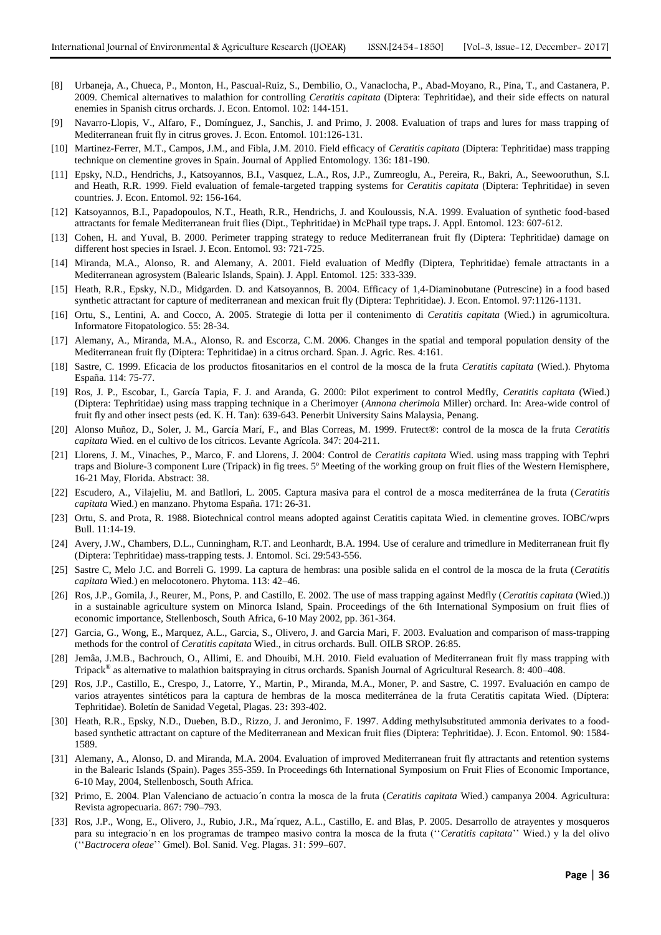- [8] Urbaneja, A., Chueca, P., Monton, H., Pascual-Ruiz, S., Dembilio, O., Vanaclocha, P., Abad-Moyano, R., Pina, T., and Castanera, P. 2009. Chemical alternatives to malathion for controlling *Ceratitis capitata* (Diptera: Tephritidae), and their side effects on natural enemies in Spanish citrus orchards. J. Econ. Entomol. 102: 144-151.
- [9] Navarro-Llopis, V., Alfaro, F., Domínguez, J., Sanchis, J. and Primo, J. 2008. Evaluation of traps and lures for mass trapping of Mediterranean fruit fly in citrus groves. J. Econ. Entomol. 101:126-131.
- [10] Martinez-Ferrer, M.T., Campos, J.M., and Fibla, J.M. 2010. Field efficacy of *Ceratitis capitata* (Diptera: Tephritidae) mass trapping technique on clementine groves in Spain. Journal of Applied Entomology. 136: 181-190.
- [11] Epsky, N.D., Hendrichs, J., Katsoyannos, B.I., Vasquez, L.A., Ros, J.P., Zumreoglu, A., Pereira, R., Bakri, A., Seewooruthun, S.I. and Heath, R.R. 1999. Field evaluation of female-targeted trapping systems for *Ceratitis capitata* (Diptera: Tephritidae) in seven countries. J. Econ. Entomol. 92: 156-164.
- [12] Katsoyannos, B.I., Papadopoulos, N.T., Heath, R.R., Hendrichs, J. and Kouloussis, N.A. 1999. Evaluation of synthetic food-based attractants for female Mediterranean fruit flies (Dipt., Tephritidae) in McPhail type traps**.** J. Appl. Entomol. 123: 607-612.
- [13] Cohen, H. and Yuval, B. 2000. Perimeter trapping strategy to reduce Mediterranean fruit fly (Diptera: Tephritidae) damage on different host species in Israel. J. Econ. Entomol. 93: 721-725.
- [14] Miranda, M.A., Alonso, R. and Alemany, A. 2001. Field evaluation of Medfly (Diptera, Tephritidae) female attractants in a Mediterranean agrosystem (Balearic Islands, Spain). J. Appl. Entomol. 125: 333-339.
- [15] Heath, R.R., Epsky, N.D., Midgarden. D. and Katsoyannos, B. 2004. Efficacy of 1,4-Diaminobutane (Putrescine) in a food based synthetic attractant for capture of mediterranean and mexican fruit fly (Diptera: Tephritidae). J. Econ. Entomol. 97:1126-1131.
- [16] Ortu, S., Lentini, A. and Cocco, A. 2005. Strategie di lotta per il contenimento di *Ceratitis capitata* (Wied.) in agrumicoltura. Informatore Fitopatologico. 55: 28-34.
- [17] Alemany, A., Miranda, M.A., Alonso, R. and Escorza, C.M. 2006. Changes in the spatial and temporal population density of the Mediterranean fruit fly (Diptera: Tephritidae) in a citrus orchard. Span. J. Agric. Res. 4:161.
- [18] Sastre, C. 1999. Eficacia de los productos fitosanitarios en el control de la mosca de la fruta *Ceratitis capitata* (Wied.). Phytoma España. 114: 75-77.
- [19] Ros, J. P., Escobar, I., García Tapia, F. J. and Aranda, G. 2000: Pilot experiment to control Medfly, *Ceratitis capitata* (Wied.) (Diptera: Tephritidae) using mass trapping technique in a Cherimoyer (*Annona cherimola* Miller) orchard. In: Area-wide control of fruit fly and other insect pests (ed. K. H. Tan): 639-643. Penerbit University Sains Malaysia, Penang.
- [20] Alonso Muñoz, D., Soler, J. M., García Marí, F., and Blas Correas, M. 1999. Frutect®: control de la mosca de la fruta *Ceratitis capitata* Wied. en el cultivo de los cítricos. Levante Agrícola. 347: 204-211.
- [21] Llorens, J. M., Vinaches, P., Marco, F. and Llorens, J. 2004: Control de *Ceratitis capitata* Wied. using mass trapping with Tephri traps and Biolure-3 component Lure (Tripack) in fig trees. 5º Meeting of the working group on fruit flies of the Western Hemisphere, 16-21 May, Florida. Abstract: 38.
- [22] Escudero, A., Vilajeliu, M. and Batllori, L. 2005. Captura masiva para el control de a mosca mediterránea de la fruta (*Ceratitis capitata* Wied.) en manzano. Phytoma España. 171: 26-31.
- [23] Ortu, S. and Prota, R. 1988. Biotechnical control means adopted against Ceratitis capitata Wied. in clementine groves. IOBC/wprs Bull. 11:14-19.
- [24] Avery, J.W., Chambers, D.L., Cunningham, R.T. and Leonhardt, B.A. 1994. Use of ceralure and trimedlure in Mediterranean fruit fly (Diptera: Tephritidae) mass-trapping tests. J. Entomol. Sci. 29:543-556.
- [25] Sastre C, Melo J.C. and Borreli G. 1999. La captura de hembras: una posible salida en el control de la mosca de la fruta (*Ceratitis capitata* Wied.) en melocotonero. Phytoma. 113: 42–46.
- [26] Ros, J.P., Gomila, J., Reurer, M., Pons, P. and Castillo, E. 2002. The use of mass trapping against Medfly (*Ceratitis capitata* (Wied.)) in a sustainable agriculture system on Minorca Island, Spain. Proceedings of the 6th International Symposium on fruit flies of economic importance, Stellenbosch, South Africa, 6-10 May 2002, pp. 361-364.
- [27] Garcia, G., Wong, E., Marquez, A.L., Garcia, S., Olivero, J. and Garcia Mari, F. 2003. Evaluation and comparison of mass-trapping methods for the control of *Ceratitis capitata* Wied., in citrus orchards. Bull. OILB SROP. 26:85.
- [28] Jemâa, J.M.B., Bachrouch, O., Allimi, E. and Dhouibi, M.H. 2010. Field evaluation of Mediterranean fruit fly mass trapping with Tripack<sup>®</sup> as alternative to malathion baitspraying in citrus orchards. Spanish Journal of Agricultural Research. 8: 400–408.
- [29] Ros, J.P., Castillo, E., Crespo, J., Latorre, Y., Martin, P., Miranda, M.A., Moner, P. and Sastre, C. 1997. Evaluación en campo de varios atrayentes sintéticos para la captura de hembras de la mosca mediterránea de la fruta Ceratitis capitata Wied. (Díptera: Tephritidae). Boletín de Sanidad Vegetal, Plagas. 23**:** 393-402.
- [30] Heath, R.R., Epsky, N.D., Dueben, B.D., Rizzo, J. and Jeronimo, F. 1997. Adding methylsubstituted ammonia derivates to a foodbased synthetic attractant on capture of the Mediterranean and Mexican fruit flies (Diptera: Tephritidae). J. Econ. Entomol. 90: 1584- 1589.
- [31] Alemany, A., Alonso, D. and Miranda, M.A. 2004. Evaluation of improved Mediterranean fruit fly attractants and retention systems in the Balearic Islands (Spain). Pages 355-359. In Proceedings 6th International Symposium on Fruit Flies of Economic Importance, 6-10 May, 2004, Stellenbosch, South Africa.
- [32] Primo, E. 2004. Plan Valenciano de actuacio´n contra la mosca de la fruta (*Ceratitis capitata* Wied.) campanya 2004. Agricultura: Revista agropecuaria. 867: 790–793.
- [33] Ros, J.P., Wong, E., Olivero, J., Rubio, J.R., Ma´rquez, A.L., Castillo, E. and Blas, P. 2005. Desarrollo de atrayentes y mosqueros para su integracio´n en los programas de trampeo masivo contra la mosca de la fruta (''*Ceratitis capitata*'' Wied.) y la del olivo (''*Bactrocera oleae*'' Gmel). Bol. Sanid. Veg. Plagas. 31: 599–607.